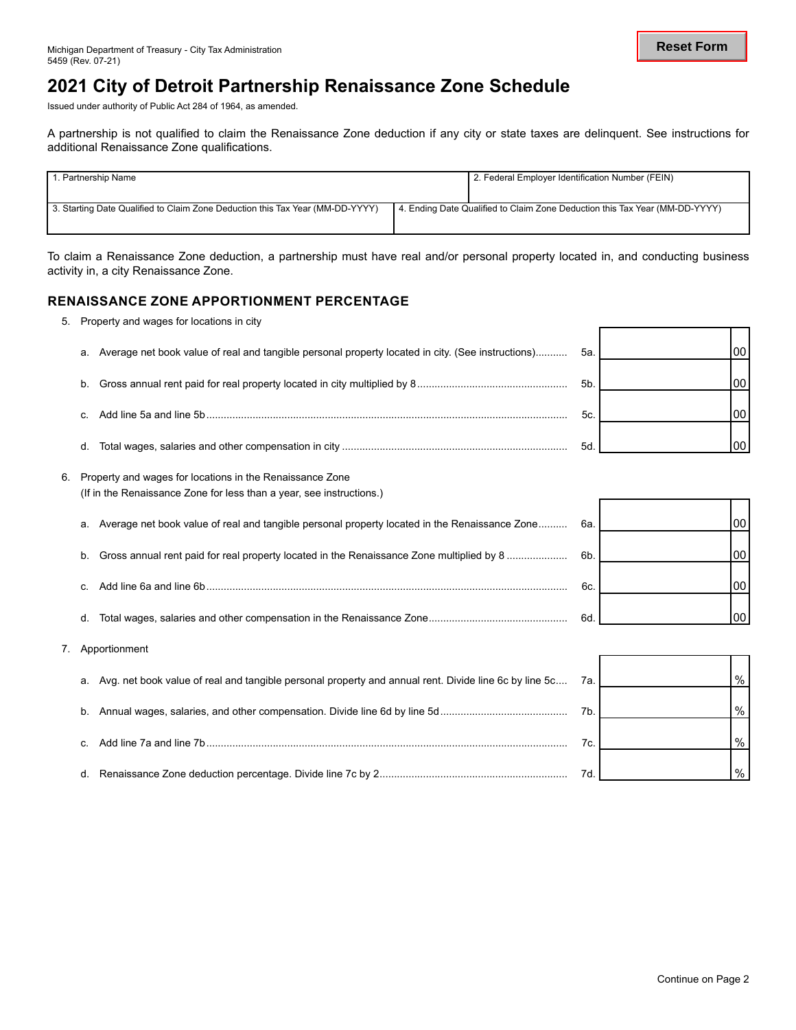## **2021 City of Detroit Partnership Renaissance Zone Schedule**

Issued under authority of Public Act 284 of 1964, as amended.

5. Property and wages for locations in city

A partnership is not qualified to claim the Renaissance Zone deduction if any city or state taxes are delinquent. See instructions for additional Renaissance Zone qualifications.

| <b>I</b> 1. Partnership Name                                                  |  | 2. Federal Employer Identification Number (FEIN)                            |  |  |  |  |
|-------------------------------------------------------------------------------|--|-----------------------------------------------------------------------------|--|--|--|--|
| 3. Starting Date Qualified to Claim Zone Deduction this Tax Year (MM-DD-YYYY) |  | 4. Ending Date Qualified to Claim Zone Deduction this Tax Year (MM-DD-YYYY) |  |  |  |  |

To claim a Renaissance Zone deduction, a partnership must have real and/or personal property located in, and conducting business activity in, a city Renaissance Zone.

#### **RENAISSANCE ZONE APPORTIONMENT PERCENTAGE**

|    | 0. 1 Topony and Magoo Tor Toodworld in only                                                                                         |                |                |
|----|-------------------------------------------------------------------------------------------------------------------------------------|----------------|----------------|
|    |                                                                                                                                     |                |                |
| a. | Average net book value of real and tangible personal property located in city. (See instructions)                                   | 5а.            | 00             |
| b. |                                                                                                                                     | 5 <sub>b</sub> | 00             |
|    |                                                                                                                                     |                |                |
| C. |                                                                                                                                     | 5с.            | 00             |
| d. |                                                                                                                                     | 5d             | 00             |
|    |                                                                                                                                     |                |                |
|    | 6. Property and wages for locations in the Renaissance Zone<br>(If in the Renaissance Zone for less than a year, see instructions.) |                |                |
|    |                                                                                                                                     |                |                |
| a. | Average net book value of real and tangible personal property located in the Renaissance Zone                                       | 6а.            | 00             |
|    |                                                                                                                                     |                | 0 <sub>0</sub> |
| b. | Gross annual rent paid for real property located in the Renaissance Zone multiplied by 8                                            | 6b.            |                |

c. Add line 6a and line 6b............................................................................................................................. 6c. d. Total wages, salaries and other compensation in the Renaissance Zone................................................ 6d.

7. Apportionment

| a. Avg. net book value of real and tangible personal property and annual rent. Divide line 6c by line 5c | 7а. | $\frac{0}{0}$ |
|----------------------------------------------------------------------------------------------------------|-----|---------------|
|                                                                                                          | 7b. | $\frac{0}{0}$ |
|                                                                                                          | 7c  | $\frac{0}{0}$ |
|                                                                                                          |     | $\frac{0}{0}$ |

00

00

т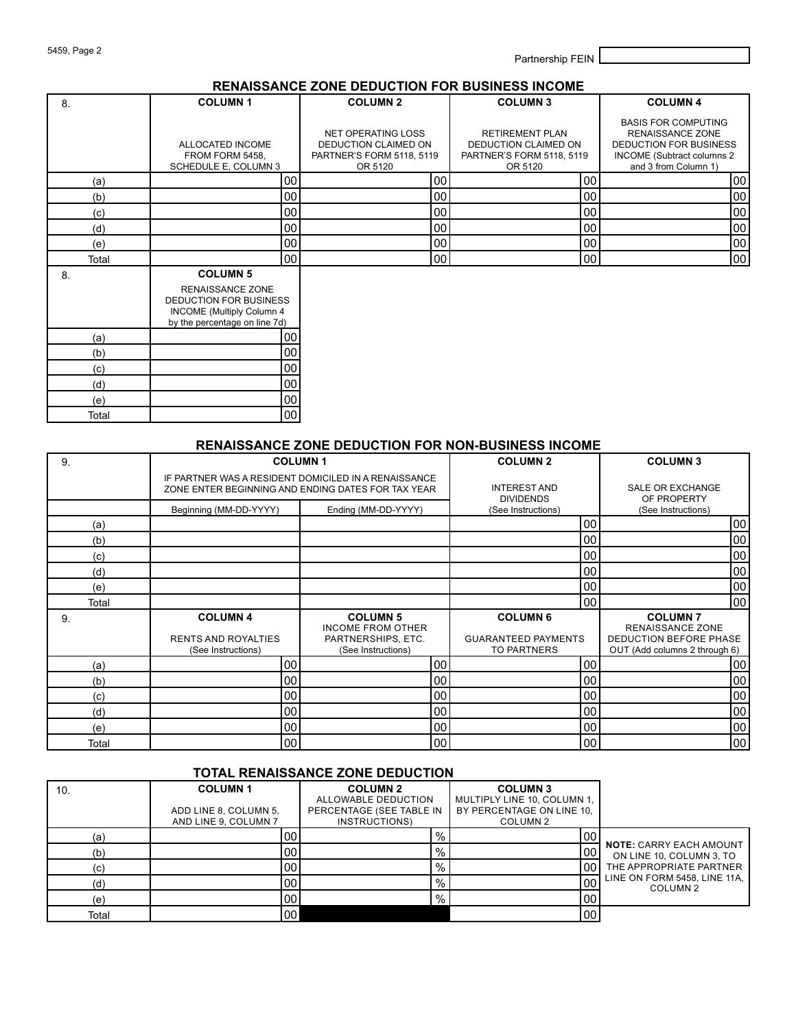5459, Page 2 Partnership FEIN

#### **RENAISSANCE ZONE DEDUCTION FOR BUSINESS INCOME**

| 8.    | <b>COLUMN1</b>                                                                                                                     | <b>COLUMN 2</b>                                                                    | <b>COLUMN 3</b>                                                                        | <b>COLUMN 4</b>                                                                                                                              |
|-------|------------------------------------------------------------------------------------------------------------------------------------|------------------------------------------------------------------------------------|----------------------------------------------------------------------------------------|----------------------------------------------------------------------------------------------------------------------------------------------|
|       | ALLOCATED INCOME<br>FROM FORM 5458.<br>SCHEDULE E, COLUMN 3                                                                        | NET OPERATING LOSS<br>DEDUCTION CLAIMED ON<br>PARTNER'S FORM 5118, 5119<br>OR 5120 | <b>RETIREMENT PLAN</b><br>DEDUCTION CLAIMED ON<br>PARTNER'S FORM 5118, 5119<br>OR 5120 | <b>BASIS FOR COMPUTING</b><br><b>RENAISSANCE ZONE</b><br><b>DEDUCTION FOR BUSINESS</b><br>INCOME (Subtract columns 2<br>and 3 from Column 1) |
| (a)   | 00                                                                                                                                 | 00 <sub>0</sub>                                                                    | 00                                                                                     | 00                                                                                                                                           |
| (b)   | 00                                                                                                                                 | 00                                                                                 | 00                                                                                     | 00                                                                                                                                           |
| (c)   | 00                                                                                                                                 | 00                                                                                 | 00                                                                                     | 00                                                                                                                                           |
| (d)   | 00                                                                                                                                 | 00 <sup>1</sup>                                                                    | 00                                                                                     | 00                                                                                                                                           |
| (e)   | 00                                                                                                                                 | 00 <sub>0</sub>                                                                    | 00                                                                                     | 00                                                                                                                                           |
| Total | 00                                                                                                                                 | 00 <sub>0</sub>                                                                    | 00 <sub>0</sub>                                                                        | 00                                                                                                                                           |
| 8.    | <b>COLUMN 5</b><br>RENAISSANCE ZONE<br>DEDUCTION FOR BUSINESS<br><b>INCOME</b> (Multiply Column 4<br>by the percentage on line 7d) |                                                                                    |                                                                                        |                                                                                                                                              |
| (a)   | 00                                                                                                                                 |                                                                                    |                                                                                        |                                                                                                                                              |
| (b)   | 00                                                                                                                                 |                                                                                    |                                                                                        |                                                                                                                                              |
| (c)   | 00                                                                                                                                 |                                                                                    |                                                                                        |                                                                                                                                              |
| (d)   | 00                                                                                                                                 |                                                                                    |                                                                                        |                                                                                                                                              |
| (e)   | 00                                                                                                                                 |                                                                                    |                                                                                        |                                                                                                                                              |
| Total | 00                                                                                                                                 |                                                                                    |                                                                                        |                                                                                                                                              |

#### **RENAISSANCE ZONE DEDUCTION FOR NON-BUSINESS INCOME**

| 9.    | <b>COLUMN1</b>                                                      |                                                                                                            |    | <b>COLUMN 2</b>                                                     |    | <b>COLUMN 3</b>                                                                                             |    |
|-------|---------------------------------------------------------------------|------------------------------------------------------------------------------------------------------------|----|---------------------------------------------------------------------|----|-------------------------------------------------------------------------------------------------------------|----|
|       |                                                                     | IF PARTNER WAS A RESIDENT DOMICILED IN A RENAISSANCE<br>ZONE ENTER BEGINNING AND ENDING DATES FOR TAX YEAR |    | <b>INTEREST AND</b><br><b>DIVIDENDS</b>                             |    | <b>SALE OR EXCHANGE</b><br>OF PROPERTY                                                                      |    |
|       | Beginning (MM-DD-YYYY)                                              | Ending (MM-DD-YYYY)                                                                                        |    | (See Instructions)                                                  |    | (See Instructions)                                                                                          |    |
| (a)   |                                                                     |                                                                                                            |    |                                                                     | 00 |                                                                                                             | 00 |
| (b)   |                                                                     |                                                                                                            |    |                                                                     | 00 |                                                                                                             | 00 |
| (c)   |                                                                     |                                                                                                            |    |                                                                     | 00 |                                                                                                             | 00 |
| (d)   |                                                                     |                                                                                                            |    |                                                                     | 00 |                                                                                                             | 00 |
| (e)   |                                                                     |                                                                                                            |    |                                                                     | 00 |                                                                                                             | 00 |
| Total |                                                                     |                                                                                                            |    |                                                                     | 00 |                                                                                                             | 00 |
| 9.    | <b>COLUMN 4</b><br><b>RENTS AND ROYALTIES</b><br>(See Instructions) | <b>COLUMN 5</b><br><b>INCOME FROM OTHER</b><br>PARTNERSHIPS, ETC.<br>(See Instructions)                    |    | <b>COLUMN 6</b><br><b>GUARANTEED PAYMENTS</b><br><b>TO PARTNERS</b> |    | <b>COLUMN7</b><br><b>RENAISSANCE ZONE</b><br><b>DEDUCTION BEFORE PHASE</b><br>OUT (Add columns 2 through 6) |    |
| (a)   | 00                                                                  |                                                                                                            | 00 |                                                                     | 00 |                                                                                                             | 00 |
| (b)   | 00 <sub>0</sub>                                                     |                                                                                                            | 00 |                                                                     | 00 |                                                                                                             | 00 |
| (c)   | 00 <sub>0</sub>                                                     |                                                                                                            | 00 |                                                                     | 00 |                                                                                                             | 00 |
| (d)   | 00                                                                  |                                                                                                            | 00 |                                                                     | 00 |                                                                                                             | 00 |
| (e)   | 00                                                                  |                                                                                                            | 00 |                                                                     | 00 |                                                                                                             | 00 |
| Total | 00                                                                  |                                                                                                            | 00 |                                                                     | 00 |                                                                                                             | 00 |

#### **TOTAL RENAISSANCE ZONE DEDUCTION**

| 10.   | <b>COLUMN1</b><br>ADD LINE 8, COLUMN 5,<br>AND LINE 9, COLUMN 7 | <b>COLUMN 2</b><br>ALLOWABLE DEDUCTION<br>PERCENTAGE (SEE TABLE IN<br>INSTRUCTIONS) | <b>COLUMN3</b><br>MULTIPLY LINE 10, COLUMN 1,<br>BY PERCENTAGE ON LINE 10.<br>COLUMN 2 |                                          |
|-------|-----------------------------------------------------------------|-------------------------------------------------------------------------------------|----------------------------------------------------------------------------------------|------------------------------------------|
| (a)   | 00                                                              | $\%$                                                                                | 00                                                                                     | <b>NOTE: CARRY EACH AMOUNT</b>           |
| (b)   | 00                                                              | $\%$                                                                                | 00                                                                                     | ON LINE 10, COLUMN 3, TO                 |
| (c)   | 00                                                              | %                                                                                   | 00 <sub>1</sub>                                                                        | THE APPROPRIATE PARTNER                  |
| (d)   | 00                                                              | $\%$                                                                                | 00                                                                                     | LINE ON FORM 5458, LINE 11A,<br>COLUMN 2 |
| (e)   | 00                                                              | %                                                                                   | 00 <sub>0</sub>                                                                        |                                          |
| Total | 00                                                              |                                                                                     | 00                                                                                     |                                          |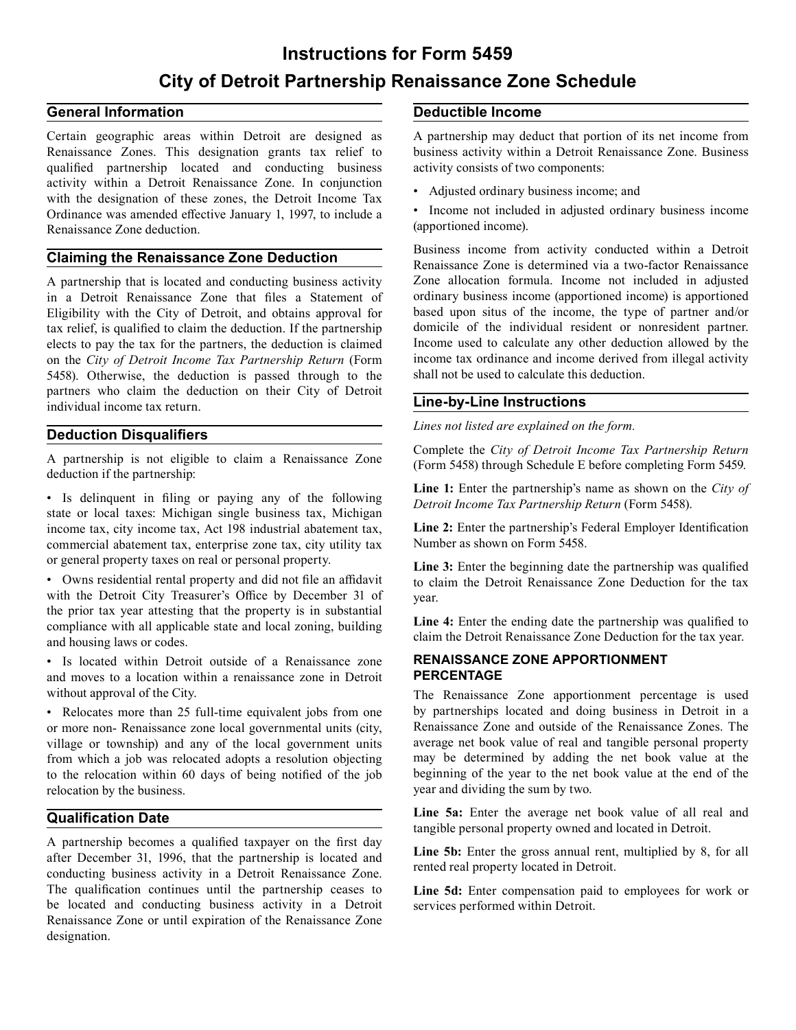# **Instructions for Form 5459 City of Detroit Partnership Renaissance Zone Schedule**

### **General Information Deductible Income**

Certain geographic areas within Detroit are designed as Renaissance Zones. This designation grants tax relief to qualified partnership located and conducting business activity within a Detroit Renaissance Zone. In conjunction with the designation of these zones, the Detroit Income Tax Ordinance was amended effective January 1, 1997, to include a Renaissance Zone deduction.

#### **Claiming the Renaissance Zone Deduction**

A partnership that is located and conducting business activity in a Detroit Renaissance Zone that files a Statement of Eligibility with the City of Detroit, and obtains approval for tax relief, is qualified to claim the deduction. If the partnership elects to pay the tax for the partners, the deduction is claimed on the *City of Detroit Income Tax Partnership Return* (Form 5458). Otherwise, the deduction is passed through to the partners who claim the deduction on their City of Detroit individual income tax return.

#### **Deduction Disqualifiers**

A partnership is not eligible to claim a Renaissance Zone deduction if the partnership:

• Is delinquent in filing or paying any of the following state or local taxes: Michigan single business tax, Michigan income tax, city income tax, Act 198 industrial abatement tax, commercial abatement tax, enterprise zone tax, city utility tax or general property taxes on real or personal property.

• Owns residential rental property and did not file an affidavit with the Detroit City Treasurer's Office by December 31 of the prior tax year attesting that the property is in substantial compliance with all applicable state and local zoning, building and housing laws or codes.

• Is located within Detroit outside of a Renaissance zone and moves to a location within a renaissance zone in Detroit without approval of the City.

• Relocates more than 25 full-time equivalent jobs from one or more non- Renaissance zone local governmental units (city, village or township) and any of the local government units from which a job was relocated adopts a resolution objecting to the relocation within 60 days of being notified of the job relocation by the business.

#### **Qualification Date**

A partnership becomes a qualified taxpayer on the first day after December 31, 1996, that the partnership is located and conducting business activity in a Detroit Renaissance Zone. The qualification continues until the partnership ceases to be located and conducting business activity in a Detroit Renaissance Zone or until expiration of the Renaissance Zone designation.

A partnership may deduct that portion of its net income from business activity within a Detroit Renaissance Zone. Business activity consists of two components:

- Adjusted ordinary business income; and
- Income not included in adjusted ordinary business income (apportioned income).

Business income from activity conducted within a Detroit Renaissance Zone is determined via a two-factor Renaissance Zone allocation formula. Income not included in adjusted ordinary business income (apportioned income) is apportioned based upon situs of the income, the type of partner and/or domicile of the individual resident or nonresident partner. Income used to calculate any other deduction allowed by the income tax ordinance and income derived from illegal activity shall not be used to calculate this deduction.

#### **Line-by-Line Instructions**

*Lines not listed are explained on the form.* 

Complete the *City of Detroit Income Tax Partnership Return*  (Form 5458) through Schedule E before completing Form 5459.

**Line 1:** Enter the partnership's name as shown on the *City of Detroit Income Tax Partnership Return* (Form 5458).

**Line 2:** Enter the partnership's Federal Employer Identification Number as shown on Form 5458.

**Line 3:** Enter the beginning date the partnership was qualified to claim the Detroit Renaissance Zone Deduction for the tax year.

**Line 4:** Enter the ending date the partnership was qualified to claim the Detroit Renaissance Zone Deduction for the tax year.

#### **RENAISSANCE ZONE APPORTIONMENT PERCENTAGE**

The Renaissance Zone apportionment percentage is used by partnerships located and doing business in Detroit in a Renaissance Zone and outside of the Renaissance Zones. The average net book value of real and tangible personal property may be determined by adding the net book value at the beginning of the year to the net book value at the end of the year and dividing the sum by two.

Line 5a: Enter the average net book value of all real and tangible personal property owned and located in Detroit.

Line 5b: Enter the gross annual rent, multiplied by 8, for all rented real property located in Detroit.

**Line 5d:** Enter compensation paid to employees for work or services performed within Detroit.